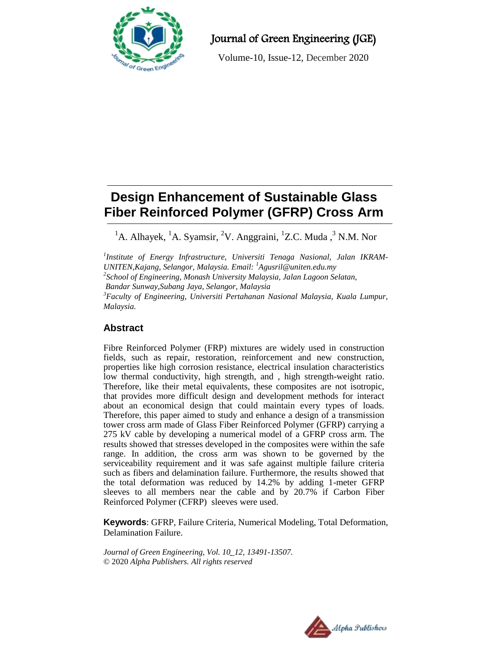

# Journal of Green Engineering (JGE)

Volume-10, Issue-12, December 2020

# **Design Enhancement of Sustainable Glass Fiber Reinforced Polymer (GFRP) Cross Arm**

<sup>1</sup>A. Alhayek, <sup>1</sup>A. Syamsir, <sup>2</sup>V. Anggraini, <sup>1</sup>Z.C. Muda, <sup>3</sup> N.M. Nor

*1 Institute of Energy Infrastructure, Universiti Tenaga Nasional, Jalan IKRAM-UNITEN,Kajang, Selangor, Malaysia. Email: <sup>1</sup>Agusril@uniten.edu.my 2 School of Engineering, Monash University Malaysia, Jalan Lagoon Selatan, Bandar Sunway,Subang Jaya, Selangor, Malaysia <sup>3</sup>Faculty of Engineering, Universiti Pertahanan Nasional Malaysia, Kuala Lumpur, Malaysia.*

# **Abstract**

Fibre Reinforced Polymer (FRP) mixtures are widely used in construction fields, such as repair, restoration, reinforcement and new construction, properties like high corrosion resistance, electrical insulation characteristics low thermal conductivity, high strength, and , high strength-weight ratio. Therefore, like their metal equivalents, these composites are not isotropic, that provides more difficult design and development methods for interact about an economical design that could maintain every types of loads. Therefore, this paper aimed to study and enhance a design of a transmission tower cross arm made of Glass Fiber Reinforced Polymer (GFRP) carrying a 275 kV cable by developing a numerical model of a GFRP cross arm. The results showed that stresses developed in the composites were within the safe range. In addition, the cross arm was shown to be governed by the serviceability requirement and it was safe against multiple failure criteria such as fibers and delamination failure. Furthermore, the results showed that the total deformation was reduced by 14.2% by adding 1-meter GFRP sleeves to all members near the cable and by 20.7% if Carbon Fiber Reinforced Polymer (CFRP) sleeves were used.

**Keywords**: GFRP, Failure Criteria, Numerical Modeling, Total Deformation, Delamination Failure.

*Journal of Green Engineering, Vol. 10\_12, 13491-13507.* © 2020 *Alpha Publishers. All rights reserved*

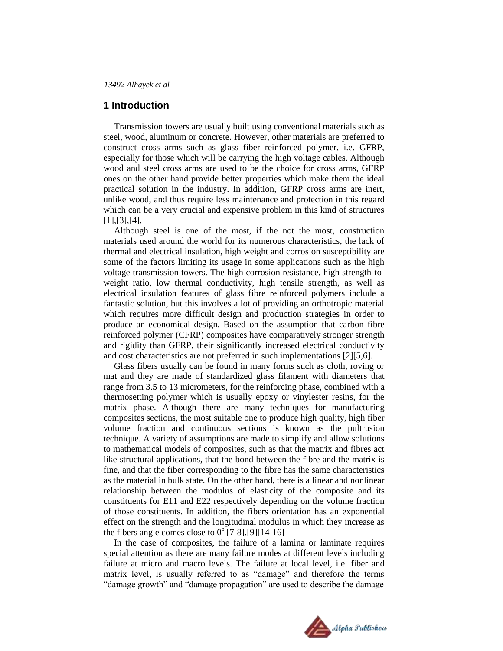#### **1 Introduction**

Transmission towers are usually built using conventional materials such as steel, wood, aluminum or concrete. However, other materials are preferred to construct cross arms such as glass fiber reinforced polymer, i.e. GFRP, especially for those which will be carrying the high voltage cables. Although wood and steel cross arms are used to be the choice for cross arms, GFRP ones on the other hand provide better properties which make them the ideal practical solution in the industry. In addition, GFRP cross arms are inert, unlike wood, and thus require less maintenance and protection in this regard which can be a very crucial and expensive problem in this kind of structures [1],[3],[4].

Although steel is one of the most, if the not the most, construction materials used around the world for its numerous characteristics, the lack of thermal and electrical insulation, high weight and corrosion susceptibility are some of the factors limiting its usage in some applications such as the high voltage transmission towers. The high corrosion resistance, high strength-toweight ratio, low thermal conductivity, high tensile strength, as well as electrical insulation features of glass fibre reinforced polymers include a fantastic solution, but this involves a lot of providing an orthotropic material which requires more difficult design and production strategies in order to produce an economical design. Based on the assumption that carbon fibre reinforced polymer (CFRP) composites have comparatively stronger strength and rigidity than GFRP, their significantly increased electrical conductivity and cost characteristics are not preferred in such implementations [2][5,6].

Glass fibers usually can be found in many forms such as cloth, roving or mat and they are made of standardized glass filament with diameters that range from 3.5 to 13 micrometers, for the reinforcing phase, combined with a thermosetting polymer which is usually epoxy or vinylester resins, for the matrix phase. Although there are many techniques for manufacturing composites sections, the most suitable one to produce high quality, high fiber volume fraction and continuous sections is known as the pultrusion technique. A variety of assumptions are made to simplify and allow solutions to mathematical models of composites, such as that the matrix and fibres act like structural applications, that the bond between the fibre and the matrix is fine, and that the fiber corresponding to the fibre has the same characteristics as the material in bulk state. On the other hand, there is a linear and nonlinear relationship between the modulus of elasticity of the composite and its constituents for E11 and E22 respectively depending on the volume fraction of those constituents. In addition, the fibers orientation has an exponential effect on the strength and the longitudinal modulus in which they increase as the fibers angle comes close to  $0^{\circ}$  [7-8].[9][14-16]

In the case of composites, the failure of a lamina or laminate requires special attention as there are many failure modes at different levels including failure at micro and macro levels. The failure at local level, i.e. fiber and matrix level, is usually referred to as "damage" and therefore the terms "damage growth" and "damage propagation" are used to describe the damage

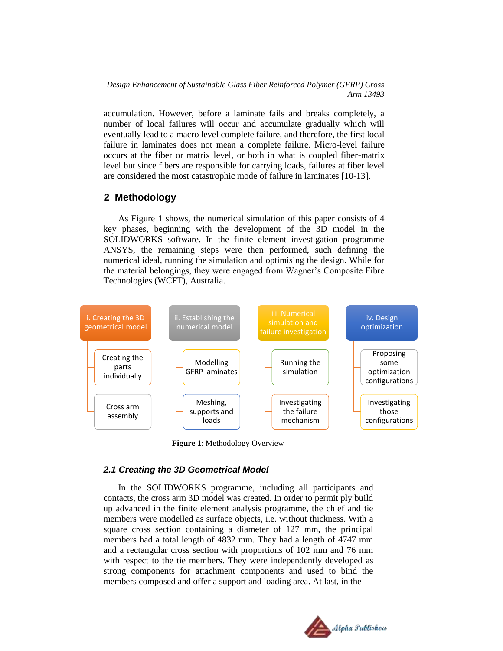accumulation. However, before a laminate fails and breaks completely, a number of local failures will occur and accumulate gradually which will eventually lead to a macro level complete failure, and therefore, the first local failure in laminates does not mean a complete failure. Micro-level failure occurs at the fiber or matrix level, or both in what is coupled fiber-matrix level but since fibers are responsible for carrying loads, failures at fiber level are considered the most catastrophic mode of failure in laminates [10-13].

## **2 Methodology**

As Figure 1 shows, the numerical simulation of this paper consists of 4 key phases, beginning with the development of the 3D model in the SOLIDWORKS software. In the finite element investigation programme ANSYS, the remaining steps were then performed, such defining the numerical ideal, running the simulation and optimising the design. While for the material belongings, they were engaged from Wagner's Composite Fibre Technologies (WCFT), Australia.



**Figure 1**: Methodology Overview

#### *2.1 Creating the 3D Geometrical Model*

In the SOLIDWORKS programme, including all participants and contacts, the cross arm 3D model was created. In order to permit ply build up advanced in the finite element analysis programme, the chief and tie members were modelled as surface objects, i.e. without thickness. With a square cross section containing a diameter of 127 mm, the principal members had a total length of 4832 mm. They had a length of 4747 mm and a rectangular cross section with proportions of 102 mm and 76 mm with respect to the tie members. They were independently developed as strong components for attachment components and used to bind the members composed and offer a support and loading area. At last, in the

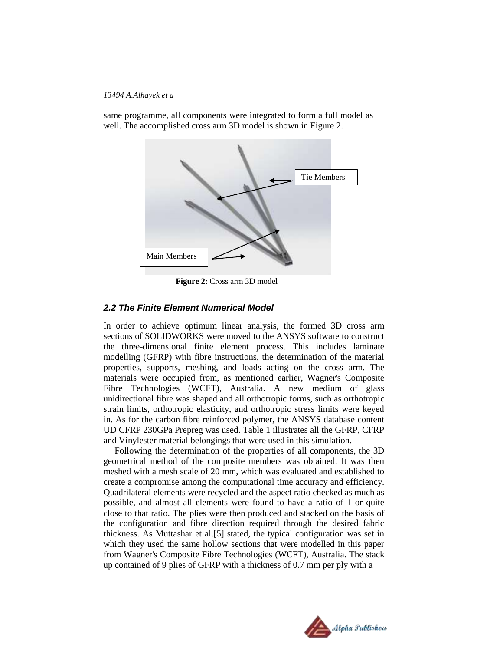same programme, all components were integrated to form a full model as well. The accomplished cross arm 3D model is shown in Figure 2.



**Figure 2:** Cross arm 3D model

## *2.2 The Finite Element Numerical Model*

In order to achieve optimum linear analysis, the formed 3D cross arm sections of SOLIDWORKS were moved to the ANSYS software to construct the three-dimensional finite element process. This includes laminate modelling (GFRP) with fibre instructions, the determination of the material properties, supports, meshing, and loads acting on the cross arm. The materials were occupied from, as mentioned earlier, Wagner's Composite Fibre Technologies (WCFT), Australia. A new medium of glass unidirectional fibre was shaped and all orthotropic forms, such as orthotropic strain limits, orthotropic elasticity, and orthotropic stress limits were keyed in. As for the carbon fibre reinforced polymer, the ANSYS database content UD CFRP 230GPa Prepreg was used. Table 1 illustrates all the GFRP, CFRP and Vinylester material belongings that were used in this simulation.

Following the determination of the properties of all components, the 3D geometrical method of the composite members was obtained. It was then meshed with a mesh scale of 20 mm, which was evaluated and established to create a compromise among the computational time accuracy and efficiency. Quadrilateral elements were recycled and the aspect ratio checked as much as possible, and almost all elements were found to have a ratio of 1 or quite close to that ratio. The plies were then produced and stacked on the basis of the configuration and fibre direction required through the desired fabric thickness. As Muttashar et al.[5] stated, the typical configuration was set in which they used the same hollow sections that were modelled in this paper from Wagner's Composite Fibre Technologies (WCFT), Australia. The stack up contained of 9 plies of GFRP with a thickness of 0.7 mm per ply with a

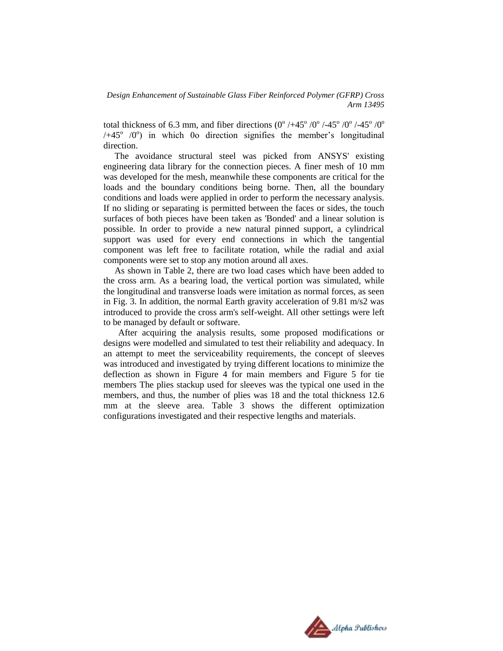total thickness of 6.3 mm, and fiber directions ( $0^{\circ}$  /+45 $^{\circ}$  /0 $^{\circ}$  /-45 $^{\circ}$  /0 $^{\circ}$  /-45 $^{\circ}$  /0 $^{\circ}$  $/(+45^\circ)$  (0°) in which 0o direction signifies the member's longitudinal direction.

The avoidance structural steel was picked from ANSYS' existing engineering data library for the connection pieces. A finer mesh of 10 mm was developed for the mesh, meanwhile these components are critical for the loads and the boundary conditions being borne. Then, all the boundary conditions and loads were applied in order to perform the necessary analysis. If no sliding or separating is permitted between the faces or sides, the touch surfaces of both pieces have been taken as 'Bonded' and a linear solution is possible. In order to provide a new natural pinned support, a cylindrical support was used for every end connections in which the tangential component was left free to facilitate rotation, while the radial and axial components were set to stop any motion around all axes.

As shown in Table 2, there are two load cases which have been added to the cross arm. As a bearing load, the vertical portion was simulated, while the longitudinal and transverse loads were imitation as normal forces, as seen in Fig. 3. In addition, the normal Earth gravity acceleration of 9.81 m/s2 was introduced to provide the cross arm's self-weight. All other settings were left to be managed by default or software.

After acquiring the analysis results, some proposed modifications or designs were modelled and simulated to test their reliability and adequacy. In an attempt to meet the serviceability requirements, the concept of sleeves was introduced and investigated by trying different locations to minimize the deflection as shown in Figure 4 for main members and Figure 5 for tie members The plies stackup used for sleeves was the typical one used in the members, and thus, the number of plies was 18 and the total thickness 12.6 mm at the sleeve area. Table 3 shows the different optimization configurations investigated and their respective lengths and materials.

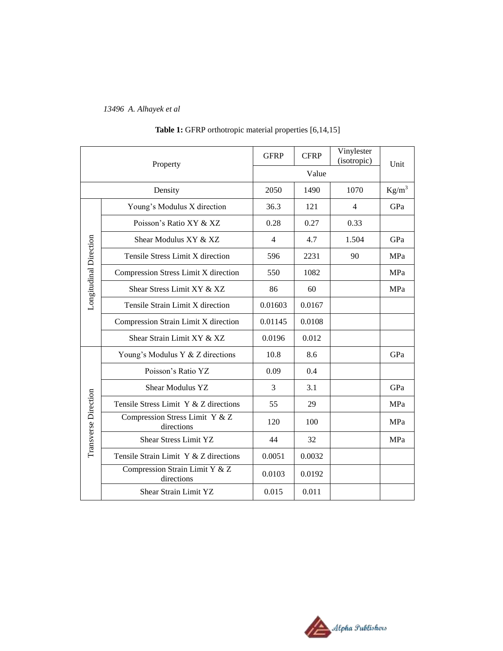| Property               |                                              | <b>GFRP</b>    | <b>CFRP</b> | Vinylester<br>(isotropic) | Unit       |
|------------------------|----------------------------------------------|----------------|-------------|---------------------------|------------|
|                        |                                              | Value          |             |                           |            |
|                        | Density                                      | 2050           | 1490        | 1070                      | $Kg/m^3$   |
|                        | Young's Modulus X direction                  | 36.3           | 121         | $\overline{4}$            | GPa        |
|                        | Poisson's Ratio XY & XZ                      | 0.28           | 0.27        | 0.33                      |            |
|                        | Shear Modulus XY & XZ                        | $\overline{4}$ | 4.7         | 1.504                     | GPa        |
|                        | Tensile Stress Limit X direction             | 596            | 2231        | 90                        | MPa        |
| Longitudinal Direction | Compression Stress Limit X direction         | 550            | 1082        |                           | MPa        |
|                        | Shear Stress Limit XY & XZ                   | 86             | 60          |                           | MPa        |
|                        | Tensile Strain Limit X direction             | 0.01603        | 0.0167      |                           |            |
|                        | Compression Strain Limit X direction         | 0.01145        | 0.0108      |                           |            |
|                        | Shear Strain Limit XY & XZ                   | 0.0196         | 0.012       |                           |            |
|                        | Young's Modulus Y & Z directions             | 10.8           | 8.6         |                           | GPa        |
|                        | Poisson's Ratio YZ                           | 0.09           | 0.4         |                           |            |
|                        | Shear Modulus YZ                             | 3              | 3.1         |                           | GPa        |
|                        | Tensile Stress Limit Y & Z directions        | 55             | 29          |                           | MPa        |
| Transverse Direction   | Compression Stress Limit Y & Z<br>directions | 120            | 100         |                           | <b>MPa</b> |
|                        | <b>Shear Stress Limit YZ</b>                 | 44             | 32          |                           | <b>MPa</b> |
|                        | Tensile Strain Limit Y & Z directions        | 0.0051         | 0.0032      |                           |            |
|                        | Compression Strain Limit Y & Z<br>directions | 0.0103         | 0.0192      |                           |            |
|                        | Shear Strain Limit YZ                        | 0.015          | 0.011       |                           |            |

# **Table 1:** GFRP orthotropic material properties [6,14,15]

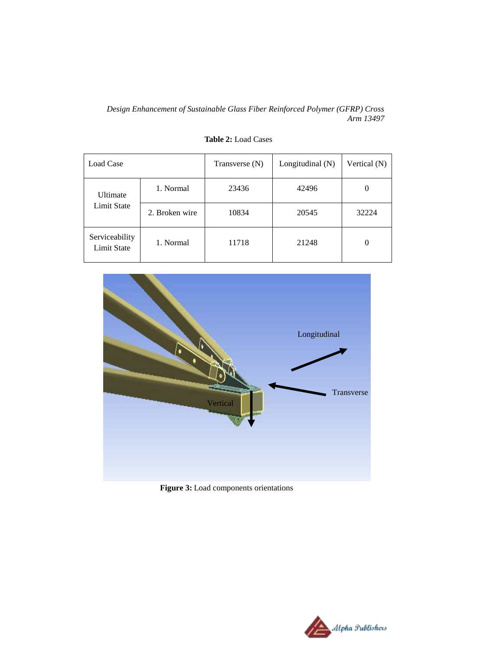| Load Case                     |                | Transverse (N) | Longitudinal (N) | Vertical (N) |
|-------------------------------|----------------|----------------|------------------|--------------|
| Ultimate                      | 1. Normal      | 23436          | 42496            | 0            |
| Limit State                   | 2. Broken wire | 10834          | 20545            | 32224        |
| Serviceability<br>Limit State | 1. Normal      | 11718          | 21248            | $\theta$     |

 **Table 2:** Load Cases



**Figure 3:** Load components orientations

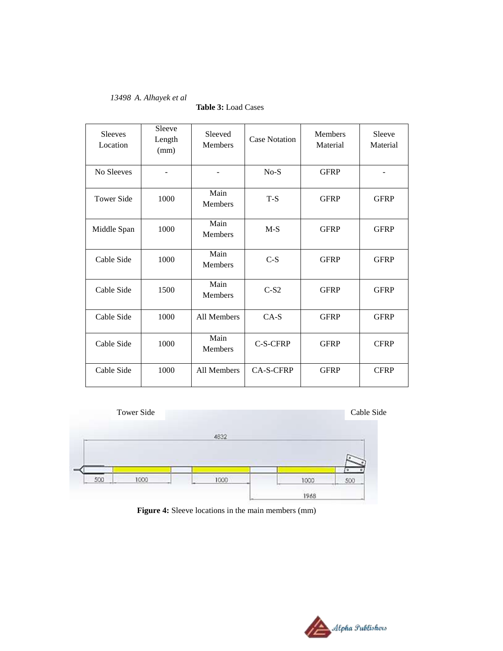| Sleeves<br>Location | Sleeve<br>Length<br>(mm) | Sleeved<br><b>Members</b> | <b>Case Notation</b> | Members<br>Material | Sleeve<br>Material |
|---------------------|--------------------------|---------------------------|----------------------|---------------------|--------------------|
| No Sleeves          |                          |                           | $No-S$               | <b>GFRP</b>         |                    |
| <b>Tower Side</b>   | 1000                     | Main<br>Members           | $T-S$                | <b>GFRP</b>         | <b>GFRP</b>        |
| Middle Span         | 1000                     | Main<br>Members           | $M-S$                | <b>GFRP</b>         | <b>GFRP</b>        |
| Cable Side          | 1000                     | Main<br>Members           | $C-S$                | <b>GFRP</b>         | <b>GFRP</b>        |
| Cable Side          | 1500                     | Main<br>Members           | $C-S2$               | <b>GFRP</b>         | <b>GFRP</b>        |
| Cable Side          | 1000                     | All Members               | $CA-S$               | <b>GFRP</b>         | <b>GFRP</b>        |
| Cable Side          | 1000                     | Main<br>Members           | C-S-CFRP             | <b>GFRP</b>         | <b>CFRP</b>        |
| Cable Side          | 1000                     | All Members               | <b>CA-S-CFRP</b>     | <b>GFRP</b>         | <b>CFRP</b>        |

#### **Table 3:** Load Cases



Figure 4: Sleeve locations in the main members (mm)

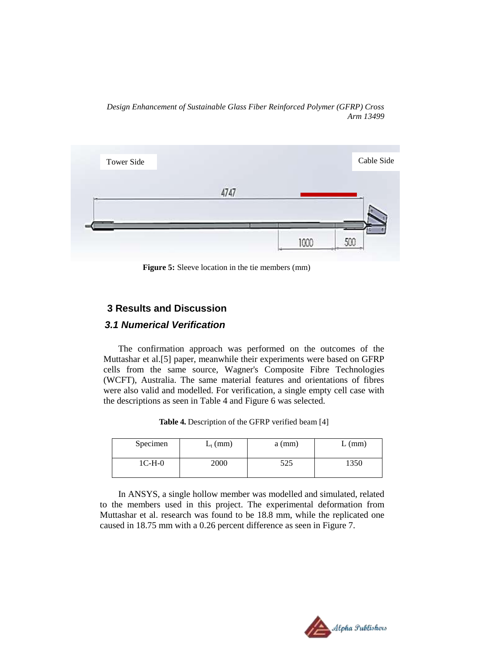

**Figure 5:** Sleeve location in the tie members (mm)

# **3 Results and Discussion**

## *3.1 Numerical Verification*

The confirmation approach was performed on the outcomes of the Muttashar et al.[5] paper, meanwhile their experiments were based on GFRP cells from the same source, Wagner's Composite Fibre Technologies (WCFT), Australia. The same material features and orientations of fibres were also valid and modelled. For verification, a single empty cell case with the descriptions as seen in Table 4 and Figure 6 was selected.

| <b>Table 4.</b> Description of the GFRP verified beam [4] |
|-----------------------------------------------------------|
|-----------------------------------------------------------|

| Specimen | $L_t$ (mm) | $a$ (mm) | $L$ (mm) |
|----------|------------|----------|----------|
| $1C-H-0$ | 2000       | 525      | 1350     |

In ANSYS, a single hollow member was modelled and simulated, related to the members used in this project. The experimental deformation from Muttashar et al. research was found to be 18.8 mm, while the replicated one caused in 18.75 mm with a 0.26 percent difference as seen in Figure 7.

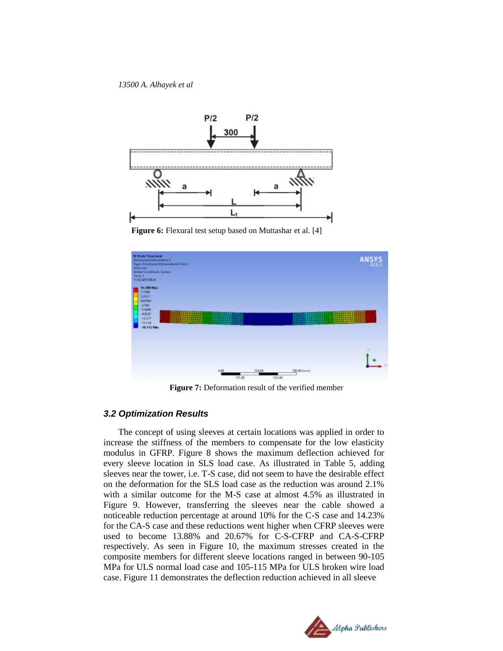

**Figure 6:** Flexural test setup based on Muttashar et al. [4]



 **Figure 7:** Deformation result of the verified member

#### *3.2 Optimization Results*

The concept of using sleeves at certain locations was applied in order to increase the stiffness of the members to compensate for the low elasticity modulus in GFRP. Figure 8 shows the maximum deflection achieved for every sleeve location in SLS load case. As illustrated in Table 5, adding sleeves near the tower, i.e. T-S case, did not seem to have the desirable effect on the deformation for the SLS load case as the reduction was around 2.1% with a similar outcome for the M-S case at almost 4.5% as illustrated in Figure 9. However, transferring the sleeves near the cable showed a noticeable reduction percentage at around 10% for the C-S case and 14.23% for the CA-S case and these reductions went higher when CFRP sleeves were used to become 13.88% and 20.67% for C-S-CFRP and CA-S-CFRP respectively. As seen in Figure 10, the maximum stresses created in the composite members for different sleeve locations ranged in between 90-105 MPa for ULS normal load case and 105-115 MPa for ULS broken wire load case. Figure 11 demonstrates the deflection reduction achieved in all sleeve

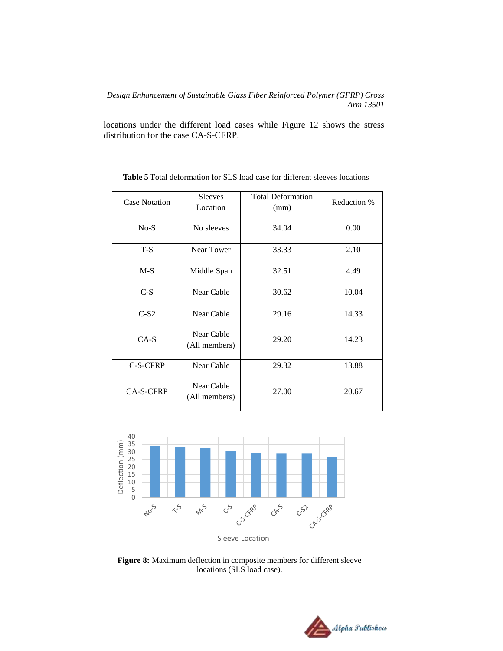locations under the different load cases while Figure 12 shows the stress distribution for the case CA-S-CFRP.

| <b>Case Notation</b> | <b>Total Deformation</b><br><b>Sleeves</b><br>Location<br>(mm) |       | Reduction % |
|----------------------|----------------------------------------------------------------|-------|-------------|
| $No-S$               | No sleeves                                                     | 34.04 | 0.00        |
| $T-S$                | Near Tower                                                     | 33.33 | 2.10        |
| $M-S$                | Middle Span                                                    | 32.51 | 4.49        |
| $C-S$                | Near Cable                                                     | 30.62 | 10.04       |
| $C-S2$               | Near Cable                                                     | 29.16 | 14.33       |
| $CA-S$               | Near Cable<br>(All members)                                    | 29.20 | 14.23       |
| C-S-CFRP             | Near Cable                                                     | 29.32 | 13.88       |
| <b>CA-S-CFRP</b>     | Near Cable<br>(All members)                                    | 27.00 | 20.67       |

 **Table 5** Total deformation for SLS load case for different sleeves locations



**Figure 8:** Maximum deflection in composite members for different sleeve locations (SLS load case).

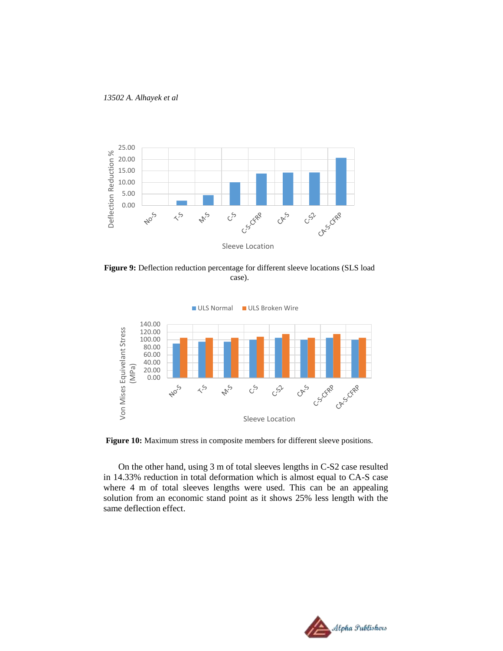*13502 A. Alhayek et al*



**Figure 9:** Deflection reduction percentage for different sleeve locations (SLS load case).



**Figure 10:** Maximum stress in composite members for different sleeve positions.

On the other hand, using 3 m of total sleeves lengths in C-S2 case resulted in 14.33% reduction in total deformation which is almost equal to CA-S case where 4 m of total sleeves lengths were used. This can be an appealing solution from an economic stand point as it shows 25% less length with the same deflection effect.

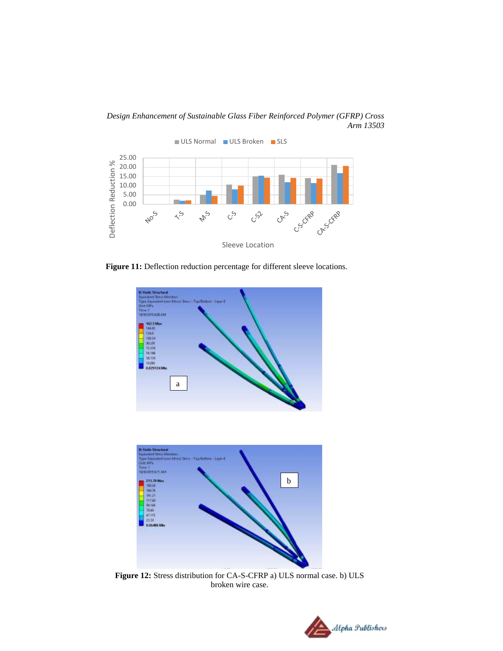*Design Enhancement of Sustainable Glass Fiber Reinforced Polymer (GFRP) Cross Arm 13503*



**Figure 11:** Deflection reduction percentage for different sleeve locations.



**Figure 12:** Stress distribution for CA-S-CFRP a) ULS normal case. b) ULS broken wire case.

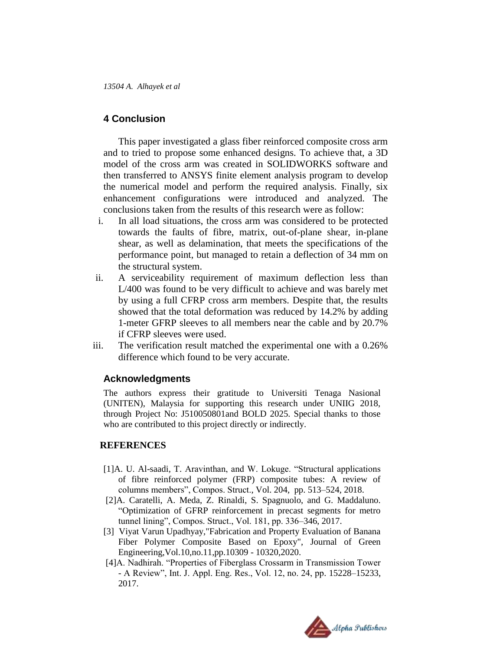# **4 Conclusion**

This paper investigated a glass fiber reinforced composite cross arm and to tried to propose some enhanced designs. To achieve that, a 3D model of the cross arm was created in SOLIDWORKS software and then transferred to ANSYS finite element analysis program to develop the numerical model and perform the required analysis. Finally, six enhancement configurations were introduced and analyzed. The conclusions taken from the results of this research were as follow:

- i. In all load situations, the cross arm was considered to be protected towards the faults of fibre, matrix, out-of-plane shear, in-plane shear, as well as delamination, that meets the specifications of the performance point, but managed to retain a deflection of 34 mm on the structural system.
- ii. A serviceability requirement of maximum deflection less than L/400 was found to be very difficult to achieve and was barely met by using a full CFRP cross arm members. Despite that, the results showed that the total deformation was reduced by 14.2% by adding 1-meter GFRP sleeves to all members near the cable and by 20.7% if CFRP sleeves were used.
- iii. The verification result matched the experimental one with a 0.26% difference which found to be very accurate.

### **Acknowledgments**

The authors express their gratitude to Universiti Tenaga Nasional (UNITEN), Malaysia for supporting this research under UNIIG 2018, through Project No: J510050801and BOLD 2025. Special thanks to those who are contributed to this project directly or indirectly.

### **REFERENCES**

- [1]A. U. Al-saadi, T. Aravinthan, and W. Lokuge. "Structural applications of fibre reinforced polymer (FRP) composite tubes: A review of columns members", Compos. Struct., Vol. 204, pp. 513–524, 2018.
- [2]A. Caratelli, A. Meda, Z. Rinaldi, S. Spagnuolo, and G. Maddaluno. "Optimization of GFRP reinforcement in precast segments for metro tunnel lining", Compos. Struct., Vol. 181, pp. 336–346, 2017.
- [3] Viyat Varun Upadhyay,"Fabrication and Property Evaluation of Banana Fiber Polymer Composite Based on Epoxy", Journal of Green Engineering,Vol.10,no.11,pp.10309 - 10320,2020.
- [4]A. Nadhirah. "Properties of Fiberglass Crossarm in Transmission Tower - A Review", Int. J. Appl. Eng. Res., Vol. 12, no. 24, pp. 15228–15233, 2017.

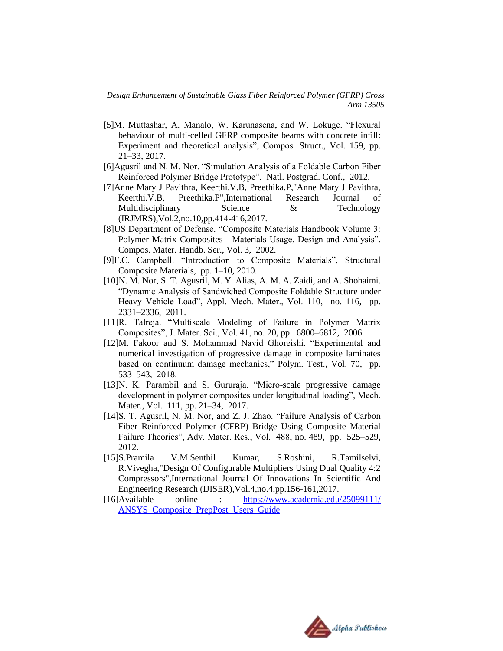- [5]M. Muttashar, A. Manalo, W. Karunasena, and W. Lokuge. "Flexural behaviour of multi-celled GFRP composite beams with concrete infill: Experiment and theoretical analysis", Compos. Struct., Vol. 159, pp. 21–33, 2017.
- [6]Agusril and N. M. Nor. "Simulation Analysis of a Foldable Carbon Fiber Reinforced Polymer Bridge Prototype", Natl. Postgrad. Conf., 2012.
- [7]Anne Mary J Pavithra, Keerthi.V.B, Preethika.P,"Anne Mary J Pavithra, Keerthi.V.B, Preethika.P",International Research Journal of Multidisciplinary Science & Technology (IRJMRS),Vol.2,no.10,pp.414-416,2017.
- [8]US Department of Defense. "Composite Materials Handbook Volume 3: Polymer Matrix Composites - Materials Usage, Design and Analysis", Compos. Mater. Handb. Ser., Vol. 3, 2002.
- [9]F.C. Campbell. "Introduction to Composite Materials", Structural Composite Materials, pp. 1–10, 2010.
- [10]N. M. Nor, S. T. Agusril, M. Y. Alias, A. M. A. Zaidi, and A. Shohaimi. "Dynamic Analysis of Sandwiched Composite Foldable Structure under Heavy Vehicle Load", Appl. Mech. Mater., Vol. 110, no. 116, pp. 2331–2336, 2011.
- [11]R. Talreja. "Multiscale Modeling of Failure in Polymer Matrix Composites", J. Mater. Sci., Vol. 41, no. 20, pp. 6800–6812, 2006.
- [12]M. Fakoor and S. Mohammad Navid Ghoreishi. "Experimental and numerical investigation of progressive damage in composite laminates based on continuum damage mechanics," Polym. Test., Vol. 70, pp. 533–543, 2018.
- [13]N. K. Parambil and S. Gururaja. "Micro-scale progressive damage development in polymer composites under longitudinal loading", Mech. Mater., Vol. 111, pp. 21–34, 2017.
- [14]S. T. Agusril, N. M. Nor, and Z. J. Zhao. "Failure Analysis of Carbon Fiber Reinforced Polymer (CFRP) Bridge Using Composite Material Failure Theories", Adv. Mater. Res., Vol. 488, no. 489, pp. 525–529, 2012.
- [15]S.Pramila V.M.Senthil Kumar, S.Roshini, R.Tamilselvi, R.Vivegha,"Design Of Configurable Multipliers Using Dual Quality 4:2 Compressors",International Journal Of Innovations In Scientific And Engineering Research (IJISER),Vol.4,no.4,pp.156-161,2017.
- [16]Available online : [https://www.academia.edu/25099111/](https://www.academia.edu/25099111/%20ANSYS_Composite_PrepPost_Users_Guide)  [ANSYS\\_Composite\\_PrepPost\\_Users\\_Guide](https://www.academia.edu/25099111/%20ANSYS_Composite_PrepPost_Users_Guide)

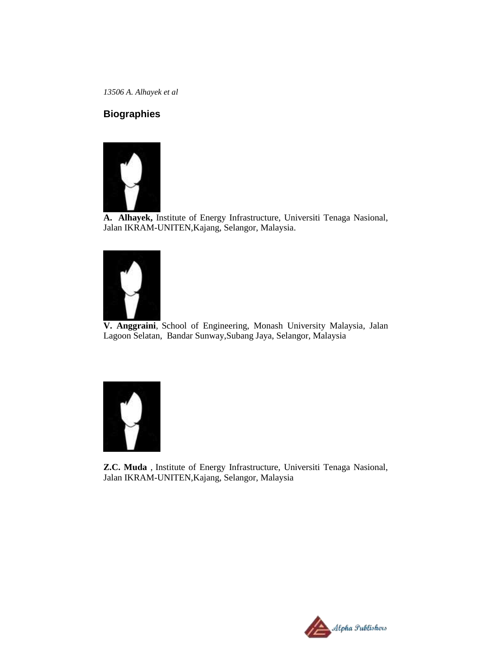# **Biographies**



**A. Alhayek,** Institute of Energy Infrastructure, Universiti Tenaga Nasional, Jalan IKRAM-UNITEN,Kajang, Selangor, Malaysia.



**V. Anggraini**, School of Engineering, Monash University Malaysia, Jalan Lagoon Selatan, Bandar Sunway,Subang Jaya, Selangor, Malaysia



**Z.C. Muda** , Institute of Energy Infrastructure, Universiti Tenaga Nasional, Jalan IKRAM-UNITEN,Kajang, Selangor, Malaysia